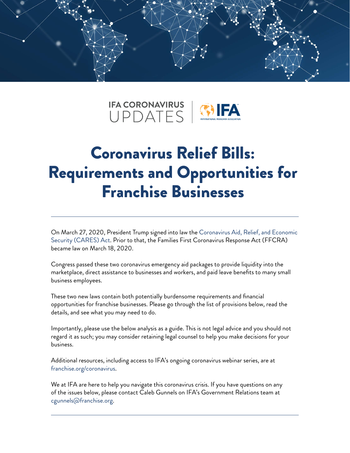



# Coronavirus Relief Bills: Requirements and Opportunities for Franchise Businesses

On March 27, 2020, President Trump signed into law the [Coronavirus Aid, Relief, and Economic](https://www.congress.gov/bill/116th-congress/house-bill/748/text?q=%7B%22search%22%3A%5B%22coronavirus+aid+relief+and+economic%22%5D%7D&r=2&s=1)  [Security \(CARES\) Act.](https://www.congress.gov/bill/116th-congress/house-bill/748/text?q=%7B%22search%22%3A%5B%22coronavirus+aid+relief+and+economic%22%5D%7D&r=2&s=1) Prior to that, the Families First Coronavirus Response Act (FFCRA) became law on March 18, 2020.

Congress passed these two coronavirus emergency aid packages to provide liquidity into the marketplace, direct assistance to businesses and workers, and paid leave benefits to many small business employees.

These two new laws contain both potentially burdensome requirements and financial opportunities for franchise businesses. Please go through the list of provisions below, read the details, and see what you may need to do.

Importantly, please use the below analysis as a guide. This is not legal advice and you should not regard it as such; you may consider retaining legal counsel to help you make decisions for your business.

Additional resources, including access to IFA's ongoing coronavirus webinar series, are at [franchise.org/coronavirus.](http:// www.franchise.org/coronavirus)

We at IFA are here to help you navigate this coronavirus crisis. If you have questions on any of the issues below, please contact Caleb Gunnels on IFA's Government Relations team at [cgunnels@franchise.org](mailto:cgunnels@franchise.org).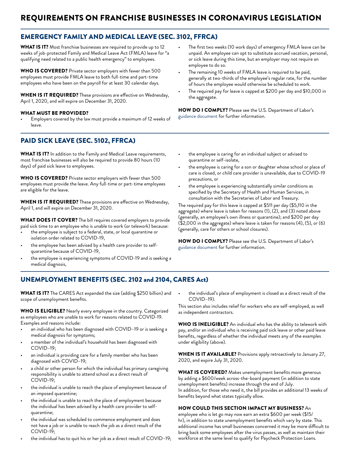## EMERGENCY FAMILY AND MEDICAL LEAVE (SEC. 3102, FFRCA)

WHAT IS IT? Most franchise businesses are required to provide up to 12 weeks of job-protected Family and Medical Leave Act (FMLA) leave for "a qualifying need related to a public health emergency" to employees.

WHO IS COVERED? Private sector employers with fewer than 500 employees must provide FMLA leave to both full-time and part-time employees who have been on the payroll for at least 30 calendar days.

WHEN IS IT REQUIRED? These provisions are effective on Wednesday, April 1, 2020, and will expire on December 31, 2020.

#### WHAT MUST BE PROVIDED?

• Employers covered by the law must provide a maximum of 12 weeks of leave.

## PAID SICK LEAVE (SEC. 5102, FFRCA)

WHAT IS IT? In addition to the Family and Medical Leave requirements, most franchise businesses will also be required to provide 80 hours (10 days) of paid sick leave to employees.

WHO IS COVERED? Private sector employers with fewer than 500 employees must provide the leave. Any full-time or part-time employees are eligible for the leave.

WHEN IS IT REQUIRED? These provisions are effective on Wednesday, April 1, and will expire on December 31, 2020.

WHAT DOES IT COVER? The bill requires covered employers to provide paid sick time to an employee who is unable to work (or telework) because:

- the employee is subject to a federal, state, or local quarantine or isolation order related to COVID-19,
- the employee has been advised by a health care provider to selfquarantine because of COVID-19,
- the employee is experiencing symptoms of COVID-19 and is seeking a medical diagnosis,
- The first two weeks (10 work days) of emergency FMLA leave can be unpaid. An employee can opt to substitute accrued vacation, personal, or sick leave during this time, but an employer may not require an employee to do so.
- The remaining 10 weeks of FMLA leave is required to be paid, generally at two-thirds of the employee's regular rate, for the number of hours the employee would otherwise be scheduled to work.
- The required pay for leave is capped at \$200 per day and \$10,000 in the aggregate.

HOW DO I COMPLY? Please see the U.S. Department of Labor's [guidance document](https://www.dol.gov/newsroom/releases/whd/whd20200326) for further information.

- the employee is caring for an individual subject or advised to quarantine or self-isolate,
- the employee is caring for a son or daughter whose school or place of care is closed, or child care provider is unavailable, due to COVID-19 precautions, or
- the employee is experiencing substantially similar conditions as specified by the Secretary of Health and Human Services, in consultation with the Secretaries of Labor and Treasury.

The required pay for this leave is capped at \$511 per day (\$5,110 in the aggregate) where leave is taken for reasons (1), (2), and (3) noted above (generally, an employee's own illness or quarantine); and \$200 per day (\$2,000 in the aggregate) where leave is taken for reasons (4), (5), or (6) (generally, care for others or school closures).

HOW DO I COMPLY? Please see the U.S. Department of Labor's [guidance document](https://www.dol.gov/newsroom/releases/whd/whd20200326) for further information.

## UNEMPLOYMENT BENEFITS (SEC. 2102 and 2104, CARES Act)

WHAT IS IT? The CARES Act expanded the size (adding \$250 billion) and scope of unemployment benefits.

WHO IS ELIGIBLE? Nearly every employee in the country. Categorized as employees who are unable to work for reasons related to COVID-19. Examples and reasons include:

- an individual who has been diagnosed with COVID–19 or is seeking a medical diagnosis for symptoms;
- a member of the individual's household has been diagnosed with COVID–19;
- an individual is providing care for a family member who has been diagnosed with COVID–19;
- a child or other person for which the individual has primary caregiving responsibility is unable to attend school as a direct result of COVID-19;
- the individual is unable to reach the place of employment because of an imposed quarantine;
- the individual is unable to reach the place of employment because the individual has been advised by a health care provider to selfquarantine;
- the individual was scheduled to commence employment and does not have a job or is unable to reach the job as a direct result of the COVID-19;
- the individual has to quit his or her job as a direct result of COVID–19;

the individual's place of employment is closed as a direct result of the COVID–19).

This section also includes relief for workers who are self-employed, as well as independent contractors.

WHO IS INELIGIBLE? An individual who has the ability to telework with pay, and/or an individual who is receiving paid sick leave or other paid leave benefits, regardless of whether the individual meets any of the examples under eligibility (above).

WHEN IS IT AVAILABLE? Provisions apply retroactively to January 27, 2020, and expire July 31, 2020.

WHAT IS COVERED? Makes unemployment benefits more generous by adding a \$600/week across-the-board payment (in addition to state unemployment benefits) increase through the end of July. In addition, for those who need it, the bill provides an additional 13 weeks of benefits beyond what states typically allow.

#### HOW COULD THIS SECTION IMPACT MY BUSINESS? An

employee who is let go may now earn an extra \$600 per week (\$15/ hr), in addition to state unemployment benefits which vary by state. This additional income has small businesses concerned it may be more difficult to bring back some employees after the virus passes, as well as maintain their workforce at the same level to qualify for Paycheck Protection Loans.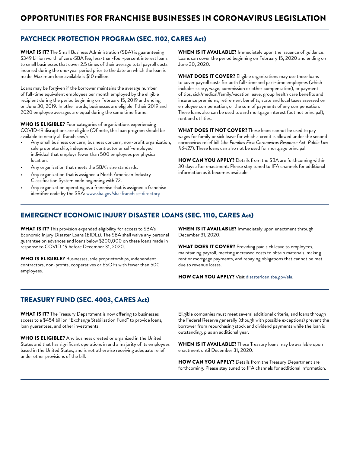## OPPORTUNITIES FOR FRANCHISE BUSINESSES IN CORONAVIRUS LEGISLATION

### PAYCHECK PROTECTION PROGRAM (SEC. 1102, CARES Act)

WHAT IS IT? The Small Business Administration (SBA) is guaranteeing \$349 billion worth of zero-SBA fee, less-than-four-percent interest loans to small businesses that cover 2.5 times of their average total payroll costs incurred during the one-year period prior to the date on which the loan is made. Maximum loan available is \$10 million.

Loans may be forgiven if the borrower maintains the average number of full-time equivalent employees per month employed by the eligible recipient during the period beginning on February 15, 2019 and ending on June 30, 2019. In other words, businesses are eligible if their 2019 and 2020 employee averages are equal during the same time frame.

WHO IS ELIGIBLE? Four categories of organizations experiencing COVID-19 disruptions are eligible (Of note, this loan program should be available to nearly all franchisees):

- Any small business concern, business concern, non-profit organization, sole proprietorship, independent contractor or self-employed individual that employs fewer than 500 employees per physical location.
- Any organization that meets the SBA's size standards.
- Any organization that is assigned a North American Industry Classification System code beginning with 72.
- Any organization operating as a franchise that is assigned a franchise identifier code by the SBA: [www.sba.gov/sba-franchise-directory](http://www.sba.gov/sba-franchise-directory)

WHEN IS IT AVAILABLE? Immediately upon the issuance of guidance. Loans can cover the period beginning on February 15, 2020 and ending on June 30, 2020.

WHAT DOES IT COVER? Eligible organizations may use these loans to cover payroll costs for both full-time and part-time employees (which includes salary, wage, commission or other compensation), or payment of tips, sick/medical/family/vacation leave, group health care benefits and insurance premiums, retirement benefits, state and local taxes assessed on employee compensation, or the sum of payments of any compensation. These loans also can be used toward mortgage interest (but not principal), rent and utilities.

WHAT DOES IT NOT COVER? These loans cannot be used to pay wages for family or sick leave for which a credit is allowed under the second coronavirus relief bill (*the Families First Coronavirus Response Act, Public Law 116-127*). These loans can also not be used for mortgage principal.

HOW CAN YOU APPLY? Details from the SBA are forthcoming within 30 days after enactment. Please stay tuned to IFA channels for additional information as it becomes available.

#### EMERGENCY ECONOMIC INJURY DISASTER LOANS (SEC. 1110, CARES Act)

WHAT IS IT? This provision expanded eligibility for access to SBA's Economic Injury Disaster Loans (EIDLs). The SBA shall waive any personal guarantee on advances and loans below \$200,000 on these loans made in response to COVID-19 before December 31, 2020.

WHO IS ELIGIBLE? Businesses, sole proprietorships, independent contractors, non-profits, cooperatives or ESOPs with fewer than 500 employees.

WHEN IS IT AVAILABLE? Immediately upon enactment through December 31, 2020.

WHAT DOES IT COVER? Providing paid sick leave to employees, maintaining payroll, meeting increased costs to obtain materials, making rent or mortgage payments, and repaying obligations that cannot be met due to revenue losses.

HOW CAN YOU APPLY? Visit [disasterloan.sba.gov/ela](http://disasterloan.sba.gov/ela).

#### TREASURY FUND (SEC. 4003, CARES Act)

WHAT IS IT? The Treasury Department is now offering to businesses access to a \$454 billion "Exchange Stabilization Fund" to provide loans, loan guarantees, and other investments.

WHO IS ELIGIBLE? Any business created or organized in the United States and that has significant operations in and a majority of its employees based in the United States, and is not otherwise receiving adequate relief under other provisions of the bill.

Eligible companies must meet several additional criteria, and loans through the Federal Reserve generally (though with possible exceptions) prevent the borrower from repurchasing stock and dividend payments while the loan is outstanding, plus an additional year.

WHEN IS IT AVAILABLE? These Treasury loans may be available upon enactment until December 31, 2020.

HOW CAN YOU APPLY? Details from the Treasury Department are forthcoming. Please stay tuned to IFA channels for additional information.